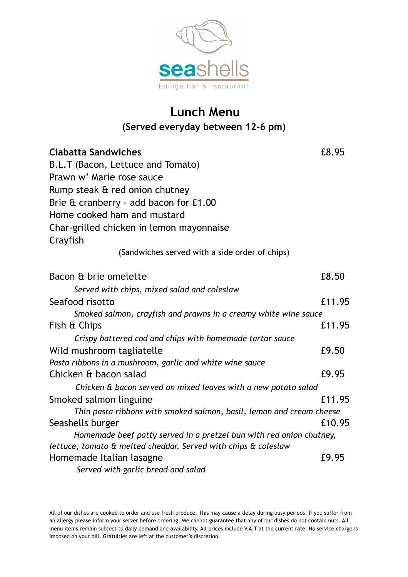

## **Lunch Menu (Served everyday between 12-6 pm)**

| <b>Ciabatta Sandwiches</b>                                           |        |  |
|----------------------------------------------------------------------|--------|--|
| B.L.T (Bacon, Lettuce and Tomato)                                    |        |  |
| Prawn w' Marie rose sauce                                            |        |  |
| Rump steak & red onion chutney                                       |        |  |
| Brie & cranberry - add bacon for £1.00                               |        |  |
| Home cooked ham and mustard                                          |        |  |
| Char-grilled chicken in lemon mayonnaise<br>Crayfish                 |        |  |
| (Sandwiches served with a side order of chips)                       |        |  |
| Bacon & brie omelette                                                | £8.50  |  |
| Served with chips, mixed salad and coleslaw                          |        |  |
| Seafood risotto                                                      | £11.95 |  |
| Smoked salmon, crayfish and prawns in a creamy white wine sauce      |        |  |
| Fish & Chips                                                         | £11.95 |  |
| Crispy battered cod and chips with homemade tartar sauce             |        |  |
| Wild mushroom tagliatelle                                            | £9.50  |  |
| Pasta ribbons in a mushroom, garlic and white wine sauce             |        |  |
| Chicken & bacon salad                                                | £9.95  |  |
| Chicken & bacon served on mixed leaves with a new potato salad       |        |  |
| Smoked salmon linguine                                               | £11.95 |  |
| Thin pasta ribbons with smoked salmon, basil, lemon and cream cheese |        |  |
| Seashells burger                                                     | £10.95 |  |
| Homemade beef patty served in a pretzel bun with red onion chutney,  |        |  |
| lettuce, tomato & melted cheddar. Served with chips & coleslaw       |        |  |
| Homemade Italian lasagne                                             | £9.95  |  |
| Served with garlic bread and salad                                   |        |  |

All of our dishes are cooked to order and use fresh produce. This may cause a delay during busy periods. If you suffer from an allergy please inform your server before ordering. We cannot guarantee that any of our dishes do not contain nuts. All menu items remain subject to daily demand and availability. All prices include V.A.T at the current rate. No service charge is imposed on your bill. Gratuities are left at the customer's discretion.